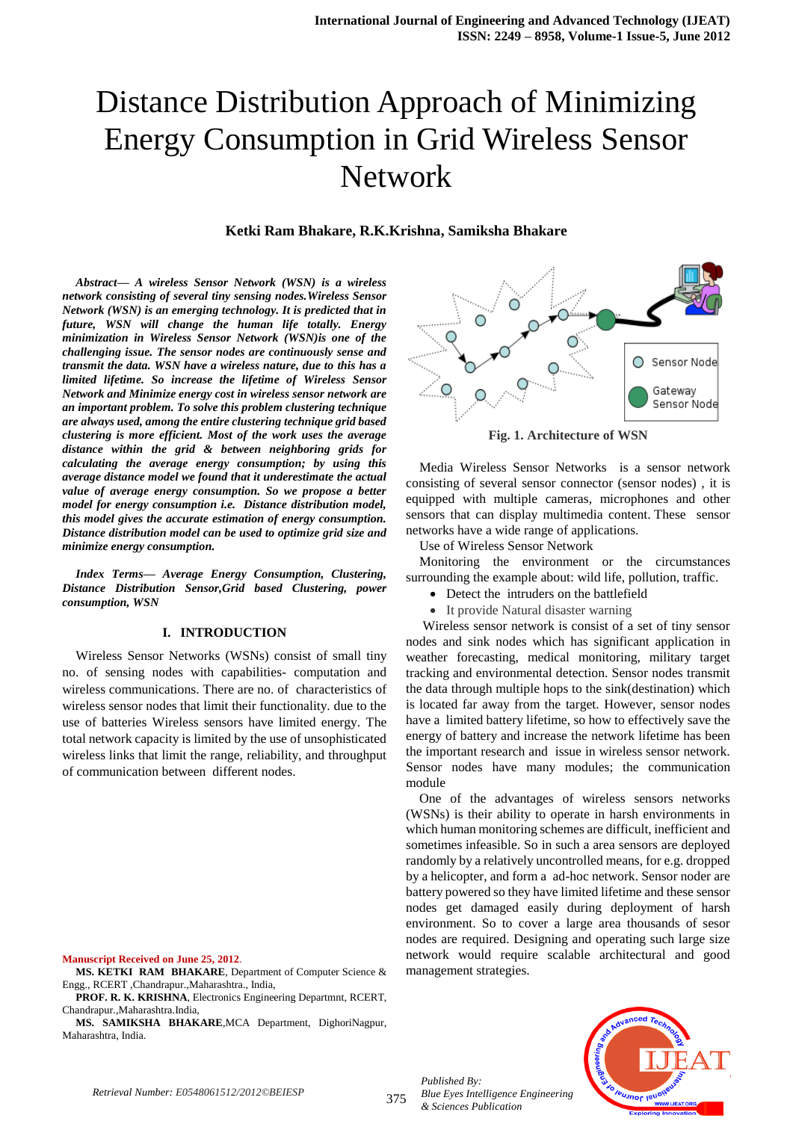#### **Ketki Ram Bhakare, R.K.Krishna, Samiksha Bhakare**

*Abstract— A wireless Sensor Network (WSN) is a wireless network consisting of several tiny sensing nodes.Wireless Sensor Network (WSN) is an emerging technology. It is predicted that in future, WSN will change the human life totally. Energy minimization in Wireless Sensor Network (WSN)is one of the challenging issue. The sensor nodes are continuously sense and transmit the data. WSN have a wireless nature, due to this has a limited lifetime. So increase the lifetime of Wireless Sensor Network and Minimize energy cost in wireless sensor network are an important problem. To solve this problem clustering technique are always used, among the entire clustering technique grid based clustering is more efficient. Most of the work uses the average distance within the grid & between neighboring grids for calculating the average energy consumption; by using this average distance model we found that it underestimate the actual value of average energy consumption. So we propose a better model for energy consumption i.e. Distance distribution model, this model gives the accurate estimation of energy consumption. Distance distribution model can be used to optimize grid size and minimize energy consumption.*

*Index Terms— Average Energy Consumption, Clustering, Distance Distribution Sensor,Grid based Clustering, power consumption, WSN*

#### **I. INTRODUCTION**

Wireless Sensor Networks (WSNs) consist of small tiny no. of sensing nodes with capabilities- computation and wireless communications. There are no. of characteristics of wireless sensor nodes that limit their functionality. due to the use of batteries Wireless sensors have limited energy. The total network capacity is limited by the use of unsophisticated wireless links that limit the range, reliability, and throughput of communication between different nodes.



**MS. KETKI RAM BHAKARE**, Department of Computer Science & Engg., RCERT ,Chandrapur.,Maharashtra., India,

**PROF. R. K. KRISHNA**, Electronics Engineering Departmnt, RCERT, Chandrapur.,Maharashtra.India,

**MS. SAMIKSHA BHAKARE**,MCA Department, DighoriNagpur, Maharashtra, India.



**Fig. 1. Architecture of WSN**

Media Wireless Sensor Networks is a sensor network consisting of several sensor connector (sensor nodes) , it is equipped with multiple cameras, microphones and other sensors that can display multimedia content. These sensor networks have a wide range of applications.

Use of Wireless Sensor Network

Monitoring the environment or the circumstances surrounding the example about: wild life, pollution, traffic.

- Detect the intruders on the battlefield
- It provide Natural disaster warning

Wireless sensor network is consist of a set of tiny sensor nodes and sink nodes which has significant application in weather forecasting, medical monitoring, military target tracking and environmental detection. Sensor nodes transmit the data through multiple hops to the sink(destination) which is located far away from the target. However, sensor nodes have a limited battery lifetime, so how to effectively save the energy of battery and increase the network lifetime has been the important research and issue in wireless sensor network. Sensor nodes have many modules; the communication module

One of the advantages of wireless sensors networks (WSNs) is their ability to operate in harsh environments in which human monitoring schemes are difficult, inefficient and sometimes infeasible. So in such a area sensors are deployed randomly by a relatively uncontrolled means, for e.g. dropped by a helicopter, and form a ad-hoc network. Sensor noder are battery powered so they have limited lifetime and these sensor nodes get damaged easily during deployment of harsh environment. So to cover a large area thousands of sesor nodes are required. Designing and operating such large size network would require scalable architectural and good management strategies.

375 *Published By: Blue Eyes Intelligence Engineering & Sciences Publication* 

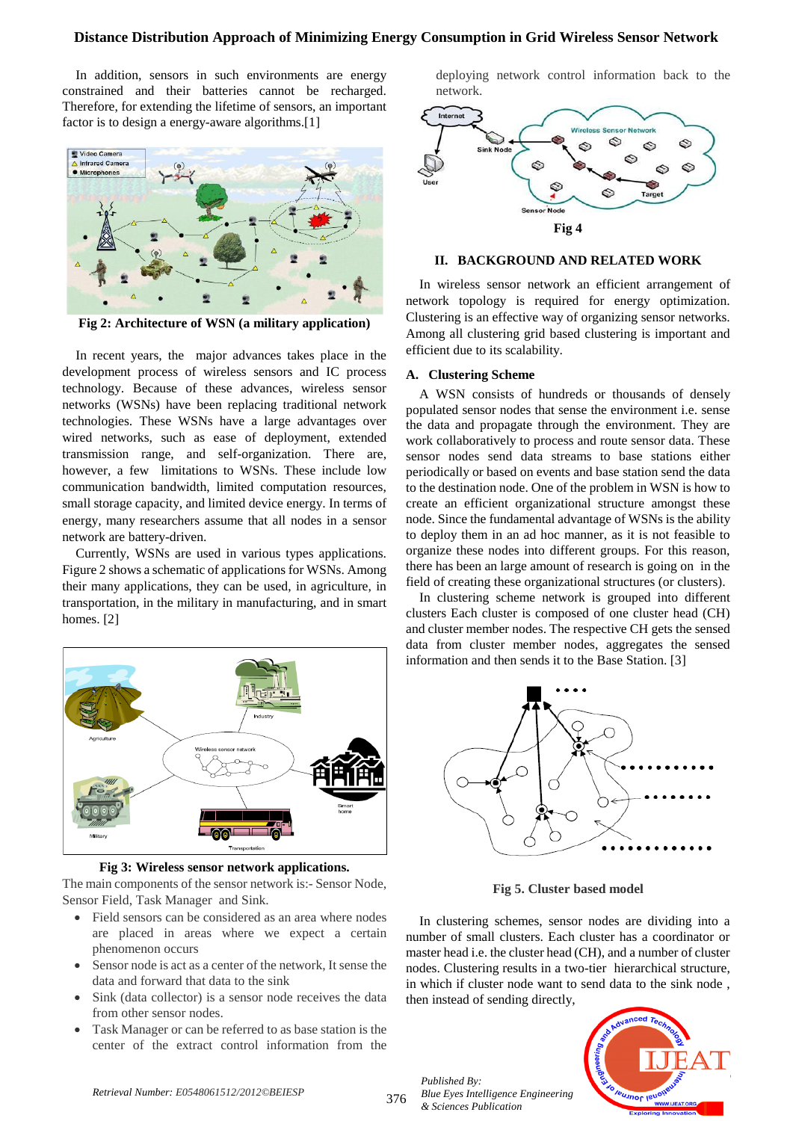In addition, sensors in such environments are energy constrained and their batteries cannot be recharged. Therefore, for extending the lifetime of sensors, an important factor is to design a energy-aware algorithms.[1]



**Fig 2: Architecture of WSN (a military application)**

In recent years, the major advances takes place in the development process of wireless sensors and IC process technology. Because of these advances, wireless sensor networks (WSNs) have been replacing traditional network technologies. These WSNs have a large advantages over wired networks, such as ease of deployment, extended transmission range, and self-organization. There are, however, a few limitations to WSNs. These include low communication bandwidth, limited computation resources, small storage capacity, and limited device energy. In terms of energy, many researchers assume that all nodes in a sensor network are battery-driven.

Currently, WSNs are used in various types applications. Figure 2 shows a schematic of applications for WSNs. Among their many applications, they can be used, in agriculture, in transportation, in the military in manufacturing, and in smart homes. [2]



**Fig 3: Wireless sensor network applications.**

The main components of the sensor network is:- Sensor Node, Sensor Field, Task Manager and Sink.

- Field sensors can be considered as an area where nodes are placed in areas where we expect a certain phenomenon occurs
- Sensor node is act as a center of the network, It sense the data and forward that data to the sink
- Sink (data collector) is a sensor node receives the data from other sensor nodes.
- Task Manager or can be referred to as base station is the center of the extract control information from the

deploying network control information back to the network.



# **II. BACKGROUND AND RELATED WORK**

In wireless sensor network an efficient arrangement of network topology is required for energy optimization. Clustering is an effective way of organizing sensor networks. Among all clustering grid based clustering is important and efficient due to its scalability.

#### **A. Clustering Scheme**

A WSN consists of hundreds or thousands of densely populated sensor nodes that sense the environment i.e. sense the data and propagate through the environment. They are work collaboratively to process and route sensor data. These sensor nodes send data streams to base stations either periodically or based on events and base station send the data to the destination node. One of the problem in WSN is how to create an efficient organizational structure amongst these node. Since the fundamental advantage of WSNs is the ability to deploy them in an ad hoc manner, as it is not feasible to organize these nodes into different groups. For this reason, there has been an large amount of research is going on in the field of creating these organizational structures (or clusters).

In clustering scheme network is grouped into different clusters Each cluster is composed of one cluster head (CH) and cluster member nodes. The respective CH gets the sensed data from cluster member nodes, aggregates the sensed information and then sends it to the Base Station. [3]



**Fig 5. Cluster based model**

In clustering schemes, sensor nodes are dividing into a number of small clusters. Each cluster has a coordinator or master head i.e. the cluster head (CH), and a number of cluster nodes. Clustering results in a two-tier hierarchical structure, in which if cluster node want to send data to the sink node , then instead of sending directly,



*Published By:*

*& Sciences Publication* 

*Blue Eyes Intelligence Engineering*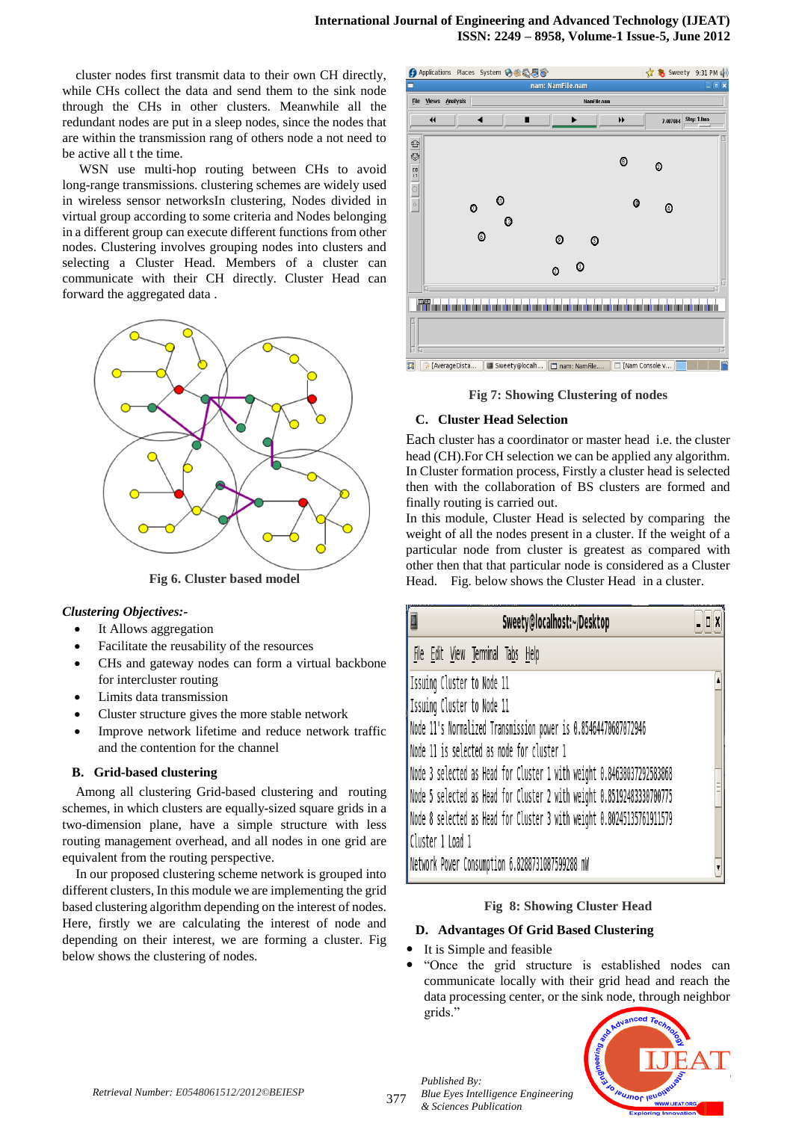cluster nodes first transmit data to their own CH directly, while CHs collect the data and send them to the sink node through the CHs in other clusters. Meanwhile all the redundant nodes are put in a sleep nodes, since the nodes that are within the transmission rang of others node a not need to be active all t the time.

WSN use multi-hop routing between CHs to avoid long-range transmissions. clustering schemes are widely used in wireless sensor networksIn clustering, Nodes divided in virtual group according to some criteria and Nodes belonging in a different group can execute different functions from other nodes. Clustering involves grouping nodes into clusters and selecting a Cluster Head. Members of a cluster can communicate with their CH directly. Cluster Head can forward the aggregated data .



**Fig 6. Cluster based model**

#### *Clustering Objectives:-*

- It Allows aggregation
- Facilitate the reusability of the resources
- CHs and gateway nodes can form a virtual backbone for intercluster routing
- Limits data transmission
- Cluster structure gives the more stable network
- Improve network lifetime and reduce network traffic and the contention for the channel

# **B. Grid-based clustering**

Among all clustering Grid-based clustering and routing schemes, in which clusters are equally-sized square grids in a two-dimension plane, have a simple structure with less routing management overhead, and all nodes in one grid are equivalent from the routing perspective.

In our proposed clustering scheme network is grouped into different clusters, In this module we are implementing the grid based clustering algorithm depending on the interest of nodes. Here, firstly we are calculating the interest of node and depending on their interest, we are forming a cluster. Fig below shows the clustering of nodes.



**Fig 7: Showing Clustering of nodes**

#### **C. Cluster Head Selection**

Each cluster has a coordinator or master head i.e. the cluster head (CH).For CH selection we can be applied any algorithm. In Cluster formation process, Firstly a cluster head is selected then with the collaboration of BS clusters are formed and finally routing is carried out.

In this module, Cluster Head is selected by comparing the weight of all the nodes present in a cluster. If the weight of a particular node from cluster is greatest as compared with other then that that particular node is considered as a Cluster Head. Fig. below shows the Cluster Head in a cluster.

| Sweety@localhost:~/Desktop                                                                                                                                                                                                                  | $-1X$ |
|---------------------------------------------------------------------------------------------------------------------------------------------------------------------------------------------------------------------------------------------|-------|
| File Edit View Terminal Tabs Help                                                                                                                                                                                                           |       |
| Issuing Cluster to Node 11<br>Issuing Cluster to Node 11<br>Node 11's Normalized Transmission power is 0.85464470687072946<br>Node 11 is selected as node for cluster 1                                                                     |       |
| Node 3 selected as Head for Cluster 1 with weight 0.84638037292583868<br>Node 5 selected as Head for Cluster 2 with weight 0.85192483330700775<br>Node 8 selected as Head for Cluster 3 with weight 0.80245135761911579<br>Cluster 1 Load 1 |       |
| Network Power Consumption 6.8288731087599288 mW                                                                                                                                                                                             |       |

# **Fig 8: Showing Cluster Head**

# **D. Advantages Of Grid Based Clustering**

- It is Simple and feasible
- "Once the grid structure is established nodes can communicate locally with their grid head and reach the data processing center, or the sink node, through neighbor grids."



*Published By:*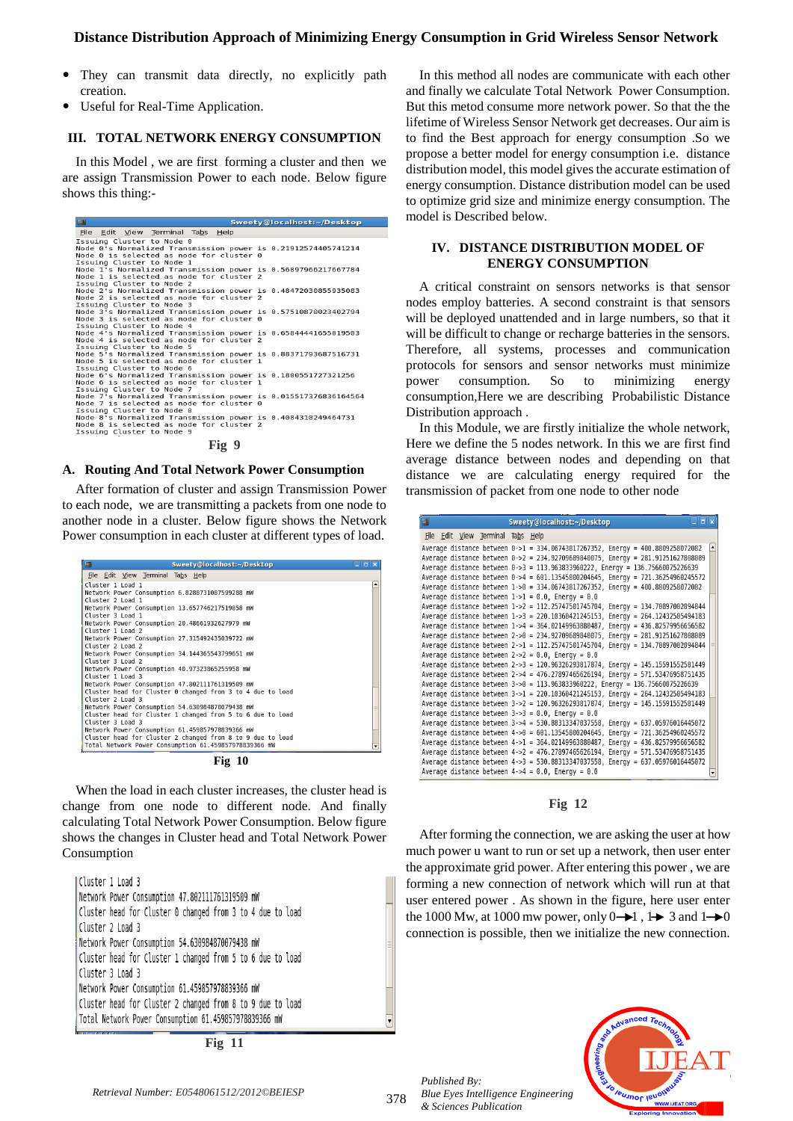- They can transmit data directly, no explicitly path creation.
- Useful for Real-Time Application.

# **III. TOTAL NETWORK ENERGY CONSUMPTION**

In this Model , we are first forming a cluster and then we are assign Transmission Power to each node. Below figure shows this thing:-

| $\qquad \qquad \Box$<br>Sweety@localhost:~/Desktop                                                                                                                  |  |
|---------------------------------------------------------------------------------------------------------------------------------------------------------------------|--|
| File Edit View Terminal Tabs Help                                                                                                                                   |  |
| Issuing Cluster to Node 0<br>Node 0's Normalized Transmission power is 0.21912574405741214<br>Node 0 is selected as node for cluster 0<br>Issuing Cluster to Node 1 |  |
| Node 1's Normalized Transmission power is 0.56897966217667784<br>Node 1 is selected as node for cluster 2<br>Issuing Cluster to Node 2                              |  |
| Node 2's Normalized Transmission power is 0.48472030855935083<br>Node 2 is selected as node for cluster 2<br>Issuing Cluster to Node 3                              |  |
| Node 3's Normalized Transmission power is 0.57510870023402794<br>Node 3 is selected as node for cluster 0<br>Issuing Cluster to Node 4                              |  |
| Node 4's Normalized Transmission power is 0.65844441655019503<br>Node 4 is selected as node for cluster 2<br>Issuing Cluster to Node 5                              |  |
| Node 5's Normalized Transmission power is 0.88371793687516731<br>Node 5 is selected as node for cluster 1<br>Issuing Cluster to Node 6                              |  |
| Node 6's Normalized Transmission power is 0.1800551727321256<br>Node 6 is selected as node for cluster 1<br>Issuing Cluster to Node 7                               |  |
| Node 7's Normalized Transmission power is 0.015517376836164564<br>Node 7 is selected as node for cluster 0<br>Issuing Cluster to Node 8                             |  |
| Node 8's Normalized Transmission power is 0.4084310249464731<br>Node 8 is selected as node for cluster 2<br>Issuing Cluster to Node 9                               |  |

**Fig 9**

#### **A. Routing And Total Network Power Consumption**

After formation of cluster and assign Transmission Power to each node, we are transmitting a packets from one node to another node in a cluster. Below figure shows the Network Power consumption in each cluster at different types of load.

| $\Box$<br>Sweety@localhost:~/Desktop                       | $\Box$ $\times$ |
|------------------------------------------------------------|-----------------|
| File Edit View Terminal Tabs Help                          |                 |
| Cluster 1 Load 1                                           |                 |
| Network Power Consumption 6.8288731087599288 mW            |                 |
| Cluster 2 Load 1                                           |                 |
| Network Power Consumption 13.657746217519858 mW            |                 |
| Cluster 3 Load 1                                           |                 |
| Network Power Consumption 20.48661932627979 mW             |                 |
| Cluster 1 Load 2                                           |                 |
| Network Power Consumption 27.315492435039722 mW            |                 |
| Cluster 2 Load 2                                           |                 |
| Network Power Consumption 34.144365543799651 mW            |                 |
| Cluster 3 Load 2                                           |                 |
| Network Power Consumption 40.97323865255958 mW             |                 |
| Cluster 1 Load 3                                           |                 |
| Network Power Consumption 47.802111761319509 mW            |                 |
| Cluster head for Cluster 0 changed from 3 to 4 due to load |                 |
| Cluster 2 Load 3                                           |                 |
| Network Power Consumption 54.630984870079438 mW            |                 |
| Cluster head for Cluster 1 changed from 5 to 6 due to load |                 |
| Cluster 3 Load 3                                           |                 |
| Network Power Consumption 61.459857978839366 mW            |                 |
| Cluster head for Cluster 2 changed from 8 to 9 due to load |                 |
| Total Network Power Consumption 61.459857978839366 mW      |                 |

**Fig 10**

When the load in each cluster increases, the cluster head is change from one node to different node. And finally calculating Total Network Power Consumption. Below figure shows the changes in Cluster head and Total Network Power Consumption

Cluster 1 Load 3 Network Power Consumption 47.802111761319509 mW Cluster head for Cluster 0 changed from 3 to 4 due to load Cluster 2 Load 3 Network Power Consumption 54.630984870079438 mW Cluster head for Cluster 1 changed from 5 to 6 due to load Cluster 3 Load 3 Network Power Consumption 61.459857978839366 mW Cluster head for Cluster 2 changed from 8 to 9 due to load Total Network Power Consumption 61.459857978839366 mW

**Fig 11**

In this method all nodes are communicate with each other and finally we calculate Total Network Power Consumption. But this metod consume more network power. So that the the lifetime of Wireless Sensor Network get decreases. Our aim is to find the Best approach for energy consumption .So we propose a better model for energy consumption i.e. distance distribution model, this model gives the accurate estimation of energy consumption. Distance distribution model can be used to optimize grid size and minimize energy consumption. The model is Described below.

#### **IV. DISTANCE DISTRIBUTION MODEL OF ENERGY CONSUMPTION**

A critical constraint on sensors networks is that sensor nodes employ batteries. A second constraint is that sensors will be deployed unattended and in large numbers, so that it will be difficult to change or recharge batteries in the sensors. Therefore, all systems, processes and communication protocols for sensors and sensor networks must minimize power consumption. So to minimizing energy consumption,Here we are describing Probabilistic Distance Distribution approach .

In this Module, we are firstly initialize the whole network, Here we define the 5 nodes network. In this we are first find average distance between nodes and depending on that distance we are calculating energy required for the transmission of packet from one node to other node

| $\square$ |                                   |  | Sweety@localhost:~/Desktop<br>-15                                               |   |
|-----------|-----------------------------------|--|---------------------------------------------------------------------------------|---|
|           | File Edit View Terminal Tabs Help |  |                                                                                 |   |
|           |                                   |  | Average distance between 0->1 = 334.06743817267352, Energy = 400.8809258072082  | ▫ |
|           |                                   |  | Average distance between 0->2 = 234.92709689840075, Energy = 281.91251627808089 |   |
|           |                                   |  | Average distance between 0->3 = 113.963833960222, Energy = 136.75660075226639   |   |
|           |                                   |  | Average distance between 0->4 = 601.13545800204645, Energy = 721.36254960245572 |   |
|           |                                   |  | Average distance between 1->0 = 334.06743817267352, Energy = 400.8809258072082  |   |
|           |                                   |  | Average distance between $1->1 = 0.0$ . Energy = 0.0                            |   |
|           |                                   |  | Average distance between 1->2 = 112.25747501745704, Energy = 134.70897002094844 |   |
|           |                                   |  | Average distance between 1->3 = 220.10360421245153, Energy = 264.12432505494183 |   |
|           |                                   |  | Average distance between 1->4 = 364.02149963880487, Energy = 436.82579956656582 |   |
|           |                                   |  | Average distance between 2->0 = 234.92709689840075, Energy = 281.91251627808089 |   |
|           |                                   |  | Average distance between 2->1 = 112.25747501745704, Energy = 134.70897002094844 |   |
|           |                                   |  | Average distance between $2->2 = 0.0$ , Energy = 0.0                            |   |
|           |                                   |  | Average distance between 2->3 = 120.96326293817874, Energy = 145.15591552581449 |   |
|           |                                   |  | Average distance between 2->4 = 476.27897465626194, Energy = 571.53476958751435 |   |
|           |                                   |  | Average distance between 3->0 = 113.963833960222, Energy = 136.75660075226639   |   |
|           |                                   |  | Average distance between 3->1 = 220.10360421245153, Energy = 264.12432505494183 |   |
|           |                                   |  | Average distance between 3->2 = 120.96326293817874, Energy = 145.15591552581449 |   |
|           |                                   |  | Average distance between $3->3 = 0.0$ , Energy = 0.0                            |   |
|           |                                   |  | Average distance between 3->4 = 530.88313347037558, Energy = 637.05976016445072 |   |
|           |                                   |  | Average distance between 4->0 = 601.13545800204645, Energy = 721.36254960245572 |   |
|           |                                   |  | Average distance between 4->1 = 364.02149963880487, Energy = 436.82579956656582 |   |
|           |                                   |  | Average distance between 4->2 = 476.27897465626194, Energy = 571.53476958751435 |   |
|           |                                   |  | Average distance between 4->3 = 530.88313347037558, Energy = 637.05976016445072 |   |
|           |                                   |  | Average distance between $4->4 = 0.0$ , Energy = 0.0                            |   |

#### **Fig 12**

After forming the connection, we are asking the user at how much power u want to run or set up a network, then user enter the approximate grid power. After entering this power , we are forming a new connection of network which will run at that user entered power . As shown in the figure, here user enter the 1000 Mw, at 1000 mw power, only  $0 \rightarrow 1$ ,  $1 \rightarrow 3$  and  $1 \rightarrow 0$ connection is possible, then we initialize the new connection.

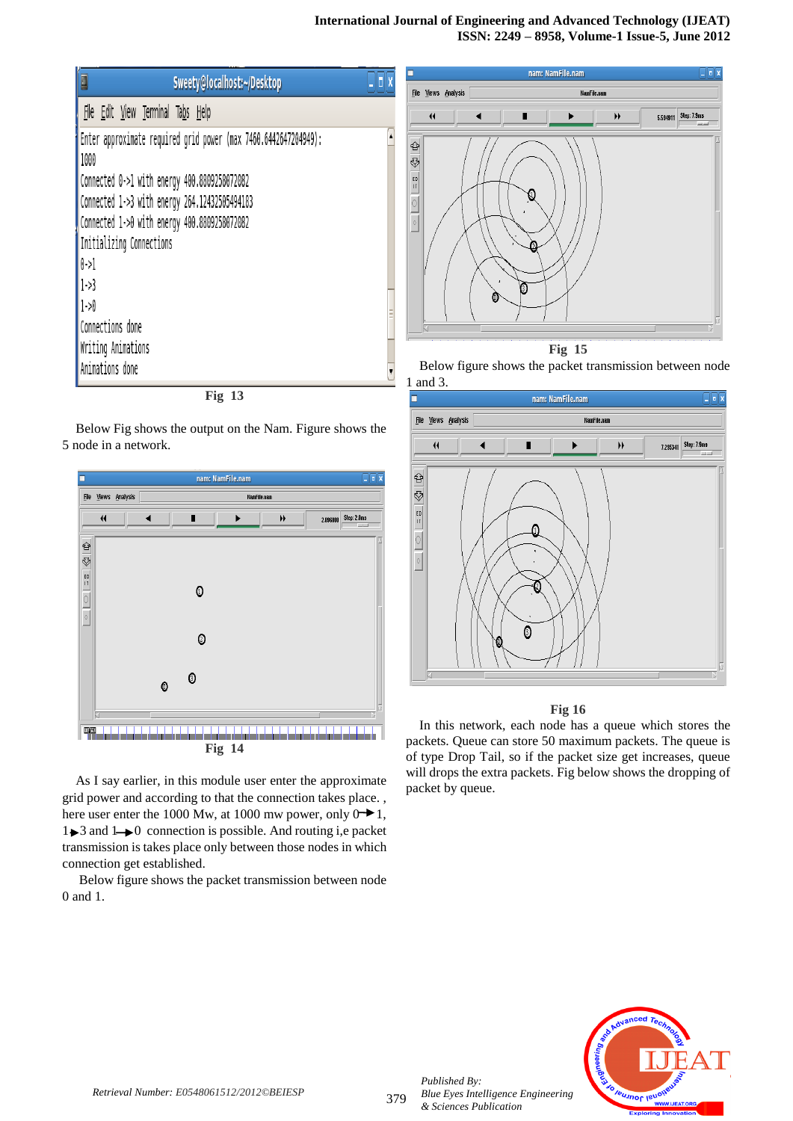# **International Journal of Engineering and Advanced Technology (IJEAT) ISSN: 2249 – 8958, Volume-1 Issue-5, June 2012**

| ū<br>Sweety@localhost:~/Desktop                                                                                                                                                                                                                              | $\blacksquare$ r |
|--------------------------------------------------------------------------------------------------------------------------------------------------------------------------------------------------------------------------------------------------------------|------------------|
| File Edit View Terminal Tabs Help                                                                                                                                                                                                                            |                  |
| Enter approximate required grid power (max 7460.6442647204949):<br>1000<br>Connected 0->1 with energy 400.8809258072082<br>Connected 1->3 with energy 264.12432505494183<br>Connected 1->0 with energy 400.8809258072082<br>Initializing Connections<br>0.51 |                  |
| $1 - 3$<br>$1 - 90$<br>Connections done<br>Writing Animations<br>Animations done                                                                                                                                                                             |                  |
| <b>Fig 13</b>                                                                                                                                                                                                                                                |                  |

Below Fig shows the output on the Nam. Figure shows the 5 node in a network.



**Fig 14**

As I say earlier, in this module user enter the approximate grid power and according to that the connection takes place. , here user enter the 1000 Mw, at 1000 mw power, only  $0 \rightarrow 1$ ,  $1 \rightarrow 3$  and  $1 \rightarrow 0$  connection is possible. And routing i,e packet transmission is takes place only between those nodes in which connection get established.

Below figure shows the packet transmission between node 0 and 1.



**Fig 15** Below figure shows the packet transmission between node



# **Fig 16**

In this network, each node has a queue which stores the packets. Queue can store 50 maximum packets. The queue is of type Drop Tail, so if the packet size get increases, queue will drops the extra packets. Fig below shows the dropping of packet by queue.



*Published By:*

*& Sciences Publication*